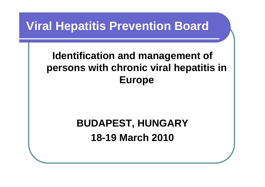### **Viral Hepatitis Prevention Board**

### **Identification and management of persons with chronic viral hepatitis in Europe**

### **BUDAPEST, HUNGARY 18-19 March 2010**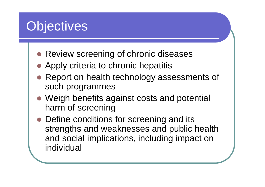# **Objectives**

- Review screening of chronic diseases
- Apply criteria to chronic hepatitis
- Report on health technology assessments of such programmes
- Weigh benefits against costs and potential harm of screening
- Define conditions for screening and its strengths and weaknesses and public health and social implications, including impact on individual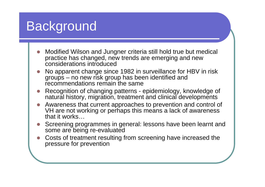# Background

- **z**  Modified Wilson and Jungner criteria still hold true but medical practice has changed, new trends are emerging and new considerations introduced
- **z**  No apparent change since 1982 in surveillance for HBV in risk groups – no new risk group has been identified and recommendations remain the same
- O Recognition of changing patterns - epidemiology, knowledge of natural history, migration, treatment and clinical developments
- **z**  Awareness that current approaches to prevention and control of VH are not working or perhaps this means a lack of awareness that it works…
- **z**  Screening programmes in general: lessons have been learnt and some are being re-evaluated
- **z**  Costs of treatment resulting from screening have increased the pressure for prevention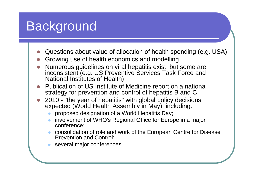# Background

- **z** Questions about value of allocation of health spending (e.g. USA)
- **z** Growing use of health economics and modelling
- **z**  Numerous guidelines on viral hepatitis exist, but some are inconsistent (e.g. US Preventive Services Task Force and National Institutes of Health)
- **z**  Publication of US Institute of Medicine report on a national strategy for prevention and control of hepatitis B and C
- **z**  2010 - "the year of hepatitis" with global policy decisions expected (World Health Assembly in May), including:
	- zproposed designation of a World Hepatitis Day;
	- z involvement of WHO's Regional Office for Europe in a major conference;
	- z consolidation of role and work of the European Centre for Disease Prevention and Control;
	- several major conferences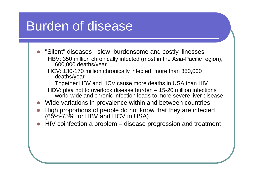# Burden of disease

- **z**  "Silent" diseases - slow, burdensome and costly illnesses HBV: 350 million chronically infected (most in the Asia-Pacific region), 600,000 deaths/year
	- HCV: 130-170 million chronically infected, more than 350,000 deaths/year

Together HBV and HCV cause more deaths in USA than HIV

- HDV: plea not to overlook disease burden 15-20 million infections world-wide and chronic infection leads to more severe liver disease
- **z** Wide variations in prevalence within and between countries
- **z**  High proportions of people do not know that they are infected (65%-75% for HBV and HCV in USA)
- O HIV coinfection a problem – disease progression and treatment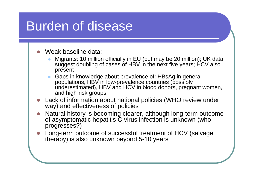# Burden of disease

#### **z** Weak baseline data:

- z Migrants: 10 million officially in EU (but may be 20 million); UK data suggest doubling of cases of HBV in the next five years; HCV also present
- z Gaps in knowledge about prevalence of: HBsAg in general populations, HBV in low-prevalence countries (possibly underestimated), HBV and HCV in blood donors, pregnant women, and high-risk groups
- **z**  Lack of information about national policies (WHO review under way) and effectiveness of policies
- O Natural history is becoming clearer, although long-term outcome of asymptomatic hepatitis C virus infection is unknown (who progresses?)
- **z**  Long-term outcome of successful treatment of HCV (salvage therapy) is also unknown beyond 5-10 years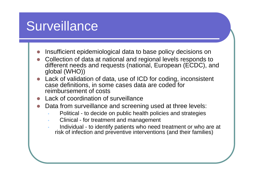# **Surveillance**

- **z** Insufficient epidemiological data to base policy decisions on
- **z**  Collection of data at national and regional levels responds to different needs and requests (national, European (ECDC), and global (WHO))
- **z**  Lack of validation of data, use of ICD for coding, inconsistent case definitions, in some cases data are coded for reimbursement of costs
- O Lack of coordination of surveillance
- O Data from surveillance and screening used at three levels:
	- •Political - to decide on public health policies and strategies
	- Clinical for treatment and management
	- Individual to identify patients who need treatment or who are at risk of infection and preventive interventions (and their families)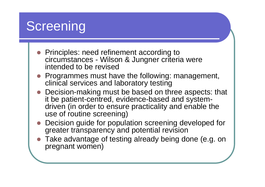# **Screening**

- Principles: need refinement according to circumstances - Wilson & Jungner criteria were intended to be revised
- $\bullet$  Programmes must have the following: management, clinical services and laboratory testing
- $\bullet$  Decision-making must be based on three aspects: that it be patient-centred, evidence-based and systemdriven (in order to ensure practicality and enable the use of routine screening)
- O Decision guide for population screening developed for greater transparency and potential revision
- z Take advantage of testing already being done (e.g. on pregnant women)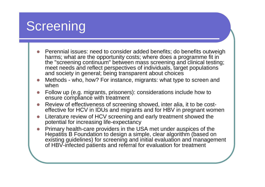# Screening

- $\bullet$  Perennial issues: need to consider added benefits; do benefits outweigh harms; what are the opportunity costs; where does a programme fit in the "screening continuum" between mass screening and clinical testing; meet needs and reflect perspectives of individuals, target populations and society in general; being transparent about choices
- $\bullet$  Methods - who, how? For instance, migrants: what type to screen and when
- O Follow up (e.g. migrants, prisoners): considerations include how to ensure compliance with treatment
- z Review of effectiveness of screening showed, inter alia, it to be costeffective for HCV in IDUs and migrants and for HBV in pregnant women
- $\bullet$  Literature review of HCV screening and early treatment showed the potential for increasing life-expectancy
- O Primary health-care providers in the USA met under auspices of the Hepatitis B Foundation to design a simple, clear algorithm (based on existing guidelines) for screening and initial evaluation and management of HBV-infected patients and referral for evaluation for treatment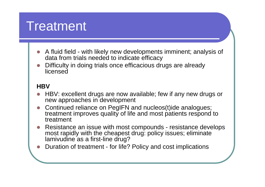# Treatment

- **z**  A fluid field - with likely new developments imminent; analysis of data from trials needed to indicate efficacy
- **z**  Difficulty in doing trials once efficacious drugs are already licensed

### **HBV**

- **z**  HBV: excellent drugs are now available; few if any new drugs or new approaches in development
- **z**  Continued reliance on PegIFN and nucleos(t)ide analogues; treatment improves quality of life and most patients respond to treatment
- **z**  Resistance an issue with most compounds - resistance develops most rapidly with the cheapest drug: policy issues; eliminate lamivudine as a first-line drug?
- **z** Duration of treatment - for life? Policy and cost implications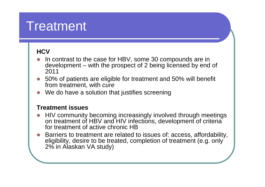# Treatment

### **HCV**

- **z**  In contrast to the case for HBV, some 30 compounds are in development – with the prospect of 2 being licensed by end of 2011
- **z**  50% of patients are eligible for treatment and 50% will benefit from treatment, with *cure*
- **z** We do have a solution that justifies screening

#### **Treatment issues**

- **z**  HIV community becoming increasingly involved through meetings on treatment of HBV and HIV infections, development of criteria for treatment of active chronic HB
- **z**  Barriers to treatment are related to issues of: access, affordability, eligibility, desire to be treated, completion of treatment (e.g. only 2% in Alaskan VA study)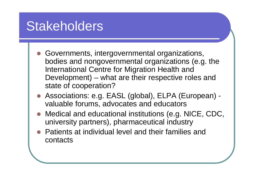# Stakeholders

- Governments, intergovernmental organizations, bodies and nongovernmental organizations (e.g. the International Centre for Migration Health and Development) – what are their respective roles and state of cooperation?
- $\bullet$  Associations: e.g. EASL (global), ELPA (European) valuable forums, advocates and educators
- Medical and educational institutions (e.g. NICE, CDC, university partners), pharmaceutical industry
- $\bullet$  Patients at individual level and their families and contacts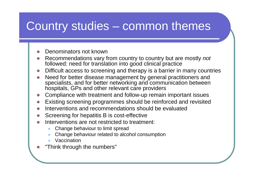### Country studies – common themes

#### $\bullet$ Denominators not known

- O Recommendations vary from country to country but are mostly *not*  followed: need for translation into good clinical practice
- zDifficult access to screening and therapy is a barrier in many countries
- O Need for better disease management by general practitioners and specialists, and for better networking and communication between hospitals, GPs and other relevant care providers
- O Compliance with treatment and follow-up remain important issues
- zExisting screening programmes should be reinforced and revisited
- O Interventions and recommendations should be evaluated
- O Screening for hepatitis B is cost-effective
- $\bullet$  Interventions are not restricted to treatment:
	- $\bullet$ Change behaviour to limit spread
	- $\bullet$ Change behaviour related to alcohol consumption
	- $\bullet$ Vaccination

**z** 

"Think through the numbers"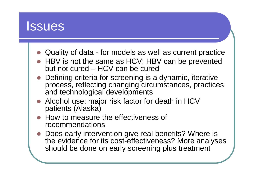

- Quality of data for models as well as current practice
- HBV is not the same as HCV; HBV can be prevented but not cured – HCV can be cured
- Defining criteria for screening is a dynamic, iterative process, reflecting changing circumstances, practices and technological developments
- Alcohol use: major risk factor for death in HCV patients (Alaska)
- How to measure the effectiveness of recommendations
- Does early intervention give real benefits? Where is the evidence for its cost-effectiveness? More analyses should be done on early screening plus treatment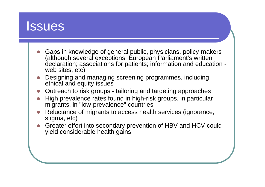

- **z**  Gaps in knowledge of general public, physicians, policy-makers (although several exceptions: European Parliament's written declaration; associations for patients; information and education web sites, etc)
- **z**  Designing and managing screening programmes, including ethical and equity issues
- O Outreach to risk groups - tailoring and targeting approaches
- O High prevalence rates found in high-risk groups, in particular migrants, in "low-prevalence" countries
- **z**  Reluctance of migrants to access health services (ignorance, stigma, etc)
- **z**  Greater effort into secondary prevention of HBV and HCV could yield considerable health gains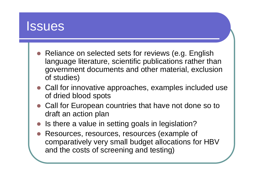

- Reliance on selected sets for reviews (e.g. English language literature, scientific publications rather than government documents and other material, exclusion of studies)
- Call for innovative approaches, examples included use of dried blood spots
- Call for European countries that have not done so to draft an action plan
- $\bullet$ Is there a value in setting goals in legislation?
- O Resources, resources, resources (example of comparatively very small budget allocations for HBV and the costs of screening and testing)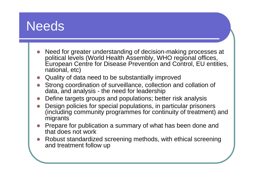## **Needs**

- **z**  Need for greater understanding of decision-making processes at political levels (World Health Assembly, WHO regional offices, European Centre for Disease Prevention and Control, EU entities, national, etc)
- **z** Quality of data need to be substantially improved
- **z**  Strong coordination of surveillance, collection and collation of data, and analysis - the need for leadership
- O Define targets groups and populations; better risk analysis
- O Design policies for special populations, in particular prisoners (including community programmes for continuity of treatment) and migrants
- **z**  Prepare for publication a summary of what has been done and that does not work
- **z**  Robust standardized screening methods, with ethical screening and treatment follow up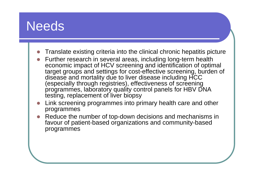## **Needs**

- **z** Translate existing criteria into the clinical chronic hepatitis picture
- **z**  Further research in several areas, including long-term health economic impact of HCV screening and identification of optimal target groups and settings for cost-effective screening, burden of disease and mortality due to liver disease including HCC (especially through registries), effectiveness of screening programmes, laboratory quality control panels for HBV DNA testing, replacement of liver biopsy
- **z**  Link screening programmes into primary health care and other programmes
- **z**  Reduce the number of top-down decisions and mechanisms in favour of patient-based organizations and community-based programmes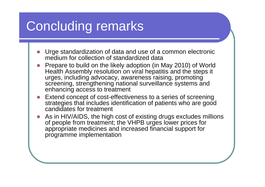# Concluding remarks

- **z**  Urge standardization of data and use of a common electronic medium for collection of standardized data
- **z** • Prepare to build on the likely adoption (in May 2010) of World Health Assembly resolution on viral hepatitis and the steps it urges, including advocacy, awareness raising, promoting screening, strengthening national surveillance systems and enhancing access to treatment
- **z**  Extend concept of cost-effectiveness to a series of screening strategies that includes identification of patients who are good candidates for treatment
- **z**  As in HIV/AIDS, the high cost of existing drugs excludes millions of people from treatment; the VHPB urges lower prices for appropriate medicines and increased financial support for programme implementation